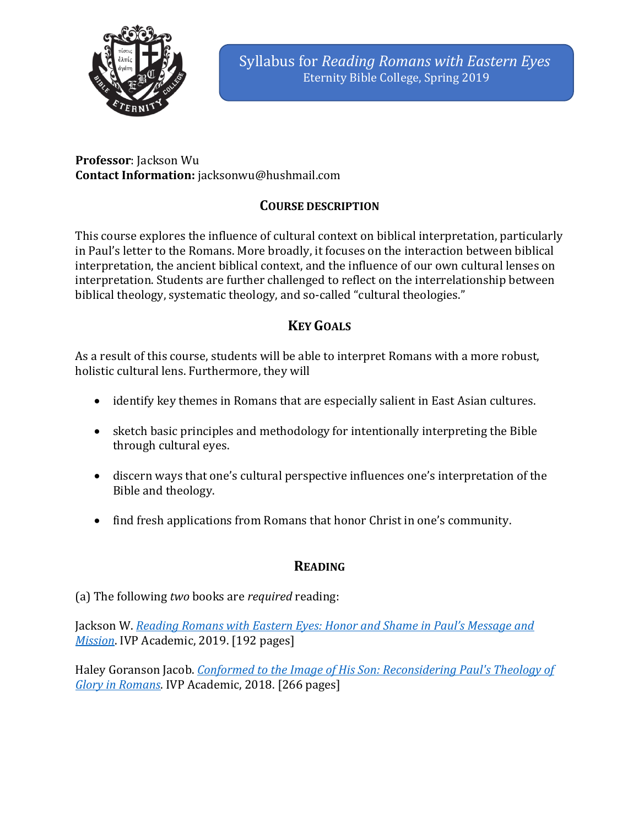

**Professor**: Jackson Wu **Contact Information:** jacksonwu@hushmail.com

# **COURSE DESCRIPTION**

This course explores the influence of cultural context on biblical interpretation, particularly in Paul's letter to the Romans. More broadly, it focuses on the interaction between biblical interpretation, the ancient biblical context, and the influence of our own cultural lenses on interpretation. Students are further challenged to reflect on the interrelationship between biblical theology, systematic theology, and so-called "cultural theologies."

# **KEY GOALS**

As a result of this course, students will be able to interpret Romans with a more robust, holistic cultural lens. Furthermore, they will

- identify key themes in Romans that are especially salient in East Asian cultures.
- sketch basic principles and methodology for intentionally interpreting the Bible through cultural eyes.
- discern ways that one's cultural perspective influences one's interpretation of the Bible and theology.
- find fresh applications from Romans that honor Christ in one's community.

# **READING**

# (a) The following *two* books are *required* reading:

Jackson W. *Reading Romans with Eastern Eyes: Honor and Shame in Paul's Message and Mission*. IVP Academic, 2019. [192 pages]

Haley Goranson Jacob. *Conformed to the Image of His Son: Reconsidering Paul's Theology of Glory in Romans.* IVP Academic, 2018. [266 pages]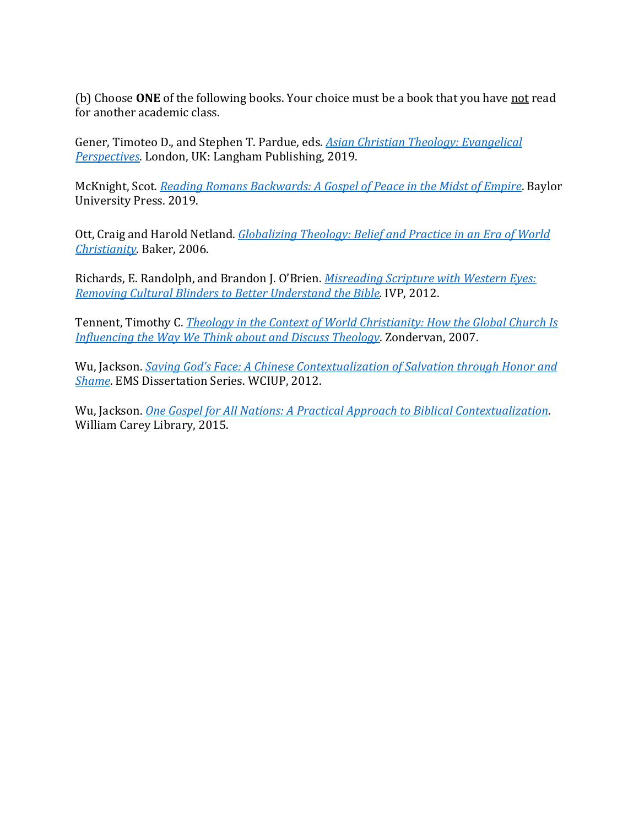(b) Choose ONE of the following books. Your choice must be a book that you have not read for another academic class.

Gener, Timoteo D., and Stephen T. Pardue, eds. *Asian Christian Theology: Evangelical Perspectives*. London, UK: Langham Publishing, 2019.

McKnight, Scot. *Reading Romans Backwards: A Gospel of Peace in the Midst of Empire*. Baylor University Press. 2019.

Ott, Craig and Harold Netland. *Globalizing Theology: Belief and Practice in an Era of World Christianity*. Baker, 2006. 

Richards, E. Randolph, and Brandon J. O'Brien. *Misreading Scripture with Western Eyes: Removing Cultural Blinders to Better Understand the Bible.* IVP, 2012.

Tennent, Timothy C. *Theology in the Context of World Christianity: How the Global Church Is Influencing the Way We Think about and Discuss Theology.* Zondervan, 2007.

Wu, Jackson. *Saving God's Face: A Chinese Contextualization of Salvation through Honor and* **Shame.** EMS Dissertation Series. WCIUP, 2012.

Wu, Jackson. *One Gospel for All Nations: A Practical Approach to Biblical Contextualization.* William Carey Library, 2015.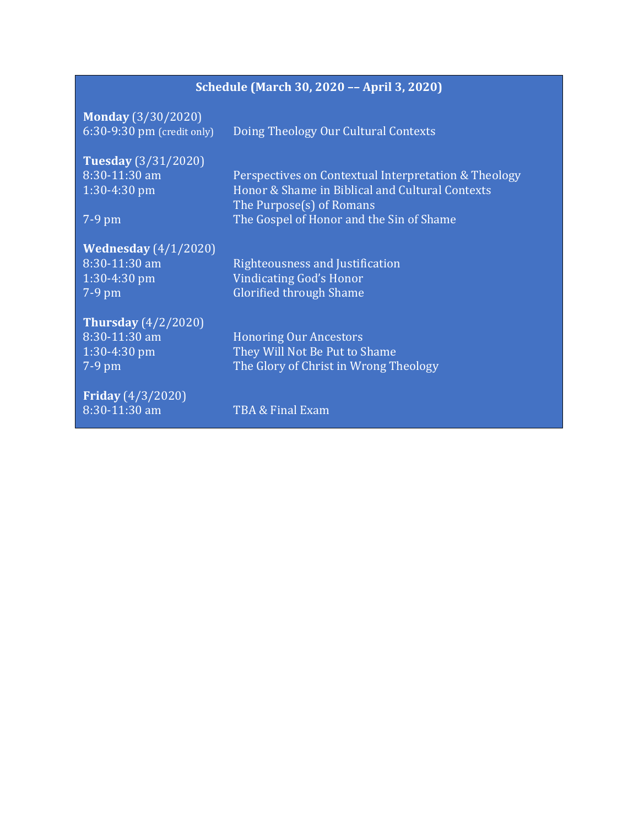# **Schedule (March 30, 2020 -- April 3, 2020)**

**Monday** (3/30/2020)

6:30-9:30 pm (credit only) Doing Theology Our Cultural Contexts

| <b>Tuesday</b> (3/31/2020)    |                                                      |
|-------------------------------|------------------------------------------------------|
| 8:30-11:30 am                 | Perspectives on Contextual Interpretation & Theology |
| $1:30-4:30$ pm                | Honor & Shame in Biblical and Cultural Contexts      |
|                               | The Purpose(s) of Romans                             |
| $7-9$ pm                      | The Gospel of Honor and the Sin of Shame             |
|                               |                                                      |
| <b>Wednesday</b> $(4/1/2020)$ |                                                      |
| $8:30-11:30$ am               | Righteousness and Justification                      |
| $1:30-4:30$ pm                | <b>Vindicating God's Honor</b>                       |
| $7-9$ pm                      | <b>Glorified through Shame</b>                       |
| <b>Thursday</b> $(4/2/2020)$  |                                                      |
| 8:30-11:30 am                 | <b>Honoring Our Ancestors</b>                        |
|                               |                                                      |
| $1:30-4:30$ pm                | They Will Not Be Put to Shame                        |
| $7-9$ pm                      | The Glory of Christ in Wrong Theology                |
| <b>Friday</b> $(4/3/2020)$    |                                                      |
| 8:30-11:30 am                 | TBA & Final Exam                                     |
|                               |                                                      |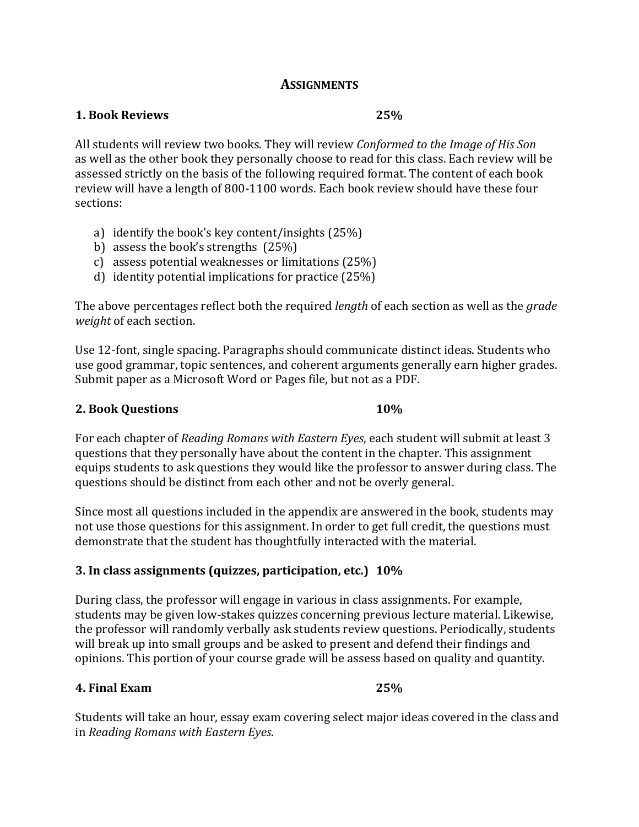### **ASSIGNMENTS**

#### **1. Book Reviews 25%**

All students will review two books. They will review *Conformed to the Image of His Son* as well as the other book they personally choose to read for this class. Each review will be assessed strictly on the basis of the following required format. The content of each book review will have a length of 800-1100 words. Each book review should have these four sections:

- a) identify the book's key content/insights  $(25%)$
- b) assess the book's strengths  $(25%)$
- c) assess potential weaknesses or limitations (25%)
- d) identity potential implications for practice  $(25%)$

The above percentages reflect both the required *length* of each section as well as the *grade weight* of each section.

Use 12-font, single spacing. Paragraphs should communicate distinct ideas. Students who use good grammar, topic sentences, and coherent arguments generally earn higher grades. Submit paper as a Microsoft Word or Pages file, but not as a PDF.

### **2.** Book Questions **10%**

For each chapter of *Reading Romans with Eastern Eyes*, each student will submit at least 3 questions that they personally have about the content in the chapter. This assignment equips students to ask questions they would like the professor to answer during class. The questions should be distinct from each other and not be overly general.

Since most all questions included in the appendix are answered in the book, students may not use those questions for this assignment. In order to get full credit, the questions must demonstrate that the student has thoughtfully interacted with the material.

# **3. In class assignments (quizzes, participation, etc.) 10%**

During class, the professor will engage in various in class assignments. For example, students may be given low-stakes quizzes concerning previous lecture material. Likewise, the professor will randomly verbally ask students review questions. Periodically, students will break up into small groups and be asked to present and defend their findings and opinions. This portion of your course grade will be assess based on quality and quantity.

### **4. Final Exam** 25%

Students will take an hour, essay exam covering select major ideas covered in the class and in *Reading Romans with Eastern Eyes*.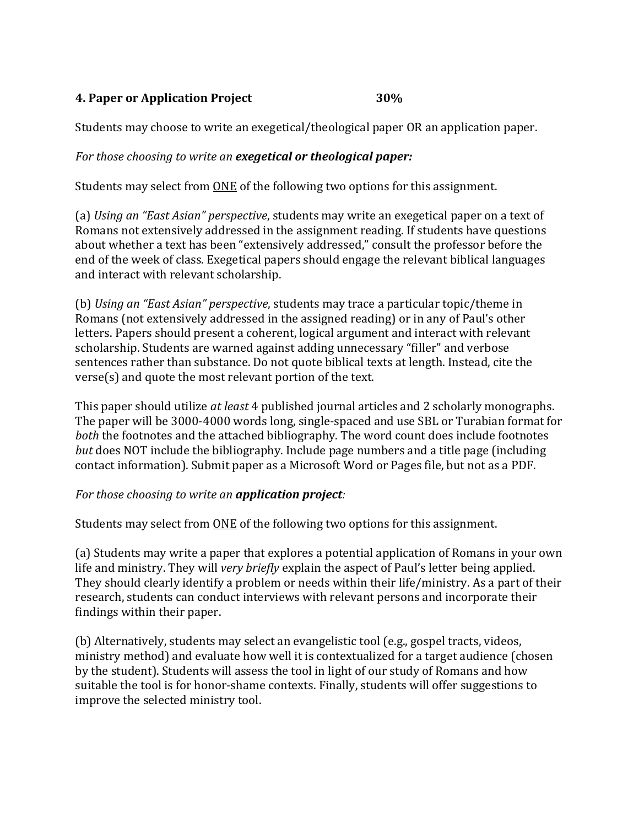## **4. Paper or Application Project 30%**

Students may choose to write an exegetical/theological paper OR an application paper.

### *For those choosing to write an exegetical or theological paper:*

Students may select from ONE of the following two options for this assignment.

(a) *Using an "East Asian" perspective*, students may write an exegetical paper on a text of Romans not extensively addressed in the assignment reading. If students have questions about whether a text has been "extensively addressed," consult the professor before the end of the week of class. Exegetical papers should engage the relevant biblical languages and interact with relevant scholarship.

(b) *Using an "East Asian" perspective*, students may trace a particular topic/theme in Romans (not extensively addressed in the assigned reading) or in any of Paul's other letters. Papers should present a coherent, logical argument and interact with relevant scholarship. Students are warned against adding unnecessary "filler" and verbose sentences rather than substance. Do not quote biblical texts at length. Instead, cite the  $verse(s)$  and quote the most relevant portion of the text.

This paper should utilize *at least* 4 published journal articles and 2 scholarly monographs. The paper will be 3000-4000 words long, single-spaced and use SBL or Turabian format for *both* the footnotes and the attached bibliography. The word count does include footnotes *but* does NOT include the bibliography. Include page numbers and a title page (including contact information). Submit paper as a Microsoft Word or Pages file, but not as a PDF.

### *For those choosing to write an application project:*

Students may select from ONE of the following two options for this assignment.

(a) Students may write a paper that explores a potential application of Romans in your own life and ministry. They will *very briefly* explain the aspect of Paul's letter being applied. They should clearly identify a problem or needs within their life/ministry. As a part of their research, students can conduct interviews with relevant persons and incorporate their findings within their paper.

(b) Alternatively, students may select an evangelistic tool  $(e.g., goes$  tracts, videos, ministry method) and evaluate how well it is contextualized for a target audience (chosen by the student). Students will assess the tool in light of our study of Romans and how suitable the tool is for honor-shame contexts. Finally, students will offer suggestions to improve the selected ministry tool.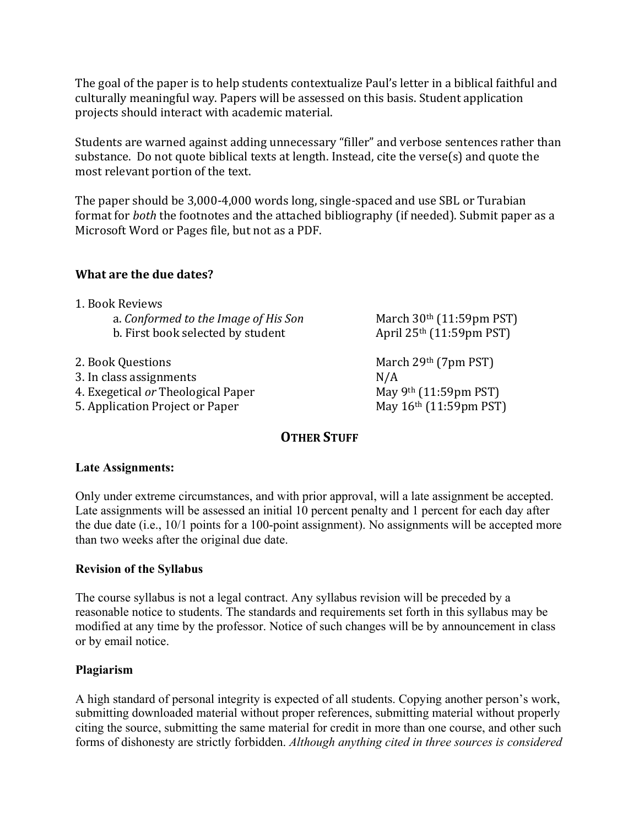The goal of the paper is to help students contextualize Paul's letter in a biblical faithful and culturally meaningful way. Papers will be assessed on this basis. Student application projects should interact with academic material.

Students are warned against adding unnecessary "filler" and verbose sentences rather than substance. Do not quote biblical texts at length. Instead, cite the verse(s) and quote the most relevant portion of the text.

The paper should be 3,000-4,000 words long, single-spaced and use SBL or Turabian format for *both* the footnotes and the attached bibliography (if needed). Submit paper as a Microsoft Word or Pages file, but not as a PDF.

#### **What are the due dates?**

| 1. Book Reviews                      |  |
|--------------------------------------|--|
| a. Conformed to the Image of His Son |  |
| b. First book selected by student    |  |

2. Book Questions March 29th (7pm PST) 3. In class assignments N/A 4. Exegetical *or* Theological Paper May 9<sup>th</sup> (11:59pm PST) 5. Application Project or Paper May 16th (11:59pm PST)

March 30<sup>th</sup> (11:59pm PST) April  $25<sup>th</sup>$  (11:59pm PST)

### **OTHER STUFF**

#### **Late Assignments:**

Only under extreme circumstances, and with prior approval, will a late assignment be accepted. Late assignments will be assessed an initial 10 percent penalty and 1 percent for each day after the due date (i.e., 10/1 points for a 100-point assignment). No assignments will be accepted more than two weeks after the original due date.

#### **Revision of the Syllabus**

The course syllabus is not a legal contract. Any syllabus revision will be preceded by a reasonable notice to students. The standards and requirements set forth in this syllabus may be modified at any time by the professor. Notice of such changes will be by announcement in class or by email notice.

#### **Plagiarism**

A high standard of personal integrity is expected of all students. Copying another person's work, submitting downloaded material without proper references, submitting material without properly citing the source, submitting the same material for credit in more than one course, and other such forms of dishonesty are strictly forbidden. *Although anything cited in three sources is considered*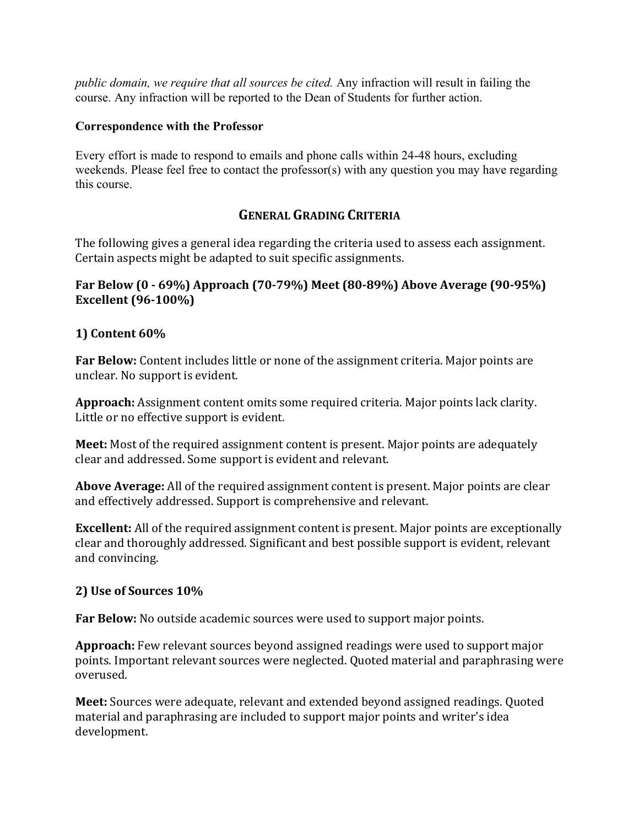*public domain, we require that all sources be cited.* Any infraction will result in failing the course. Any infraction will be reported to the Dean of Students for further action.

#### **Correspondence with the Professor**

Every effort is made to respond to emails and phone calls within 24-48 hours, excluding weekends. Please feel free to contact the professor(s) with any question you may have regarding this course.

# **GENERAL GRADING CRITERIA**

The following gives a general idea regarding the criteria used to assess each assignment. Certain aspects might be adapted to suit specific assignments.

### **Far Below (0 - 69%)** Approach (70-79%) Meet (80-89%) Above Average (90-95%) **Excellent** (96-100%)

### **1) Content 60%**

**Far Below:** Content includes little or none of the assignment criteria. Major points are unclear. No support is evident.

**Approach:** Assignment content omits some required criteria. Major points lack clarity. Little or no effective support is evident.

**Meet:** Most of the required assignment content is present. Major points are adequately clear and addressed. Some support is evident and relevant.

Above Average: All of the required assignment content is present. Major points are clear and effectively addressed. Support is comprehensive and relevant.

**Excellent:** All of the required assignment content is present. Major points are exceptionally clear and thoroughly addressed. Significant and best possible support is evident, relevant and convincing.

### **2) Use of Sources 10%**

**Far Below:** No outside academic sources were used to support major points.

**Approach:** Few relevant sources beyond assigned readings were used to support major points. Important relevant sources were neglected. Quoted material and paraphrasing were overused. 

**Meet:** Sources were adequate, relevant and extended beyond assigned readings. Quoted material and paraphrasing are included to support major points and writer's idea development.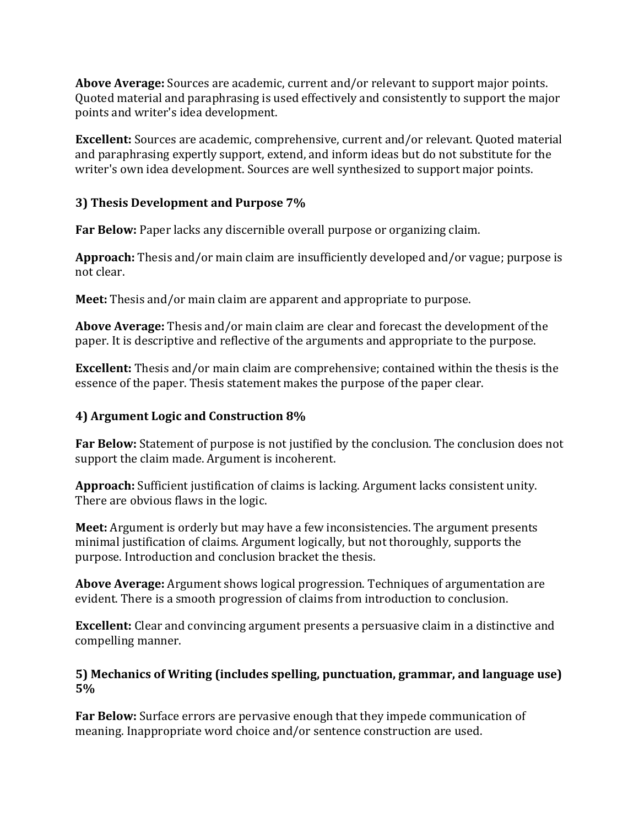**Above Average:** Sources are academic, current and/or relevant to support major points. Quoted material and paraphrasing is used effectively and consistently to support the major points and writer's idea development.

**Excellent:** Sources are academic, comprehensive, current and/or relevant. Quoted material and paraphrasing expertly support, extend, and inform ideas but do not substitute for the writer's own idea development. Sources are well synthesized to support major points.

# **3) Thesis Development and Purpose 7%**

**Far Below:** Paper lacks any discernible overall purpose or organizing claim.

Approach: Thesis and/or main claim are insufficiently developed and/or vague; purpose is not clear.

**Meet:** Thesis and/or main claim are apparent and appropriate to purpose.

Above Average: Thesis and/or main claim are clear and forecast the development of the paper. It is descriptive and reflective of the arguments and appropriate to the purpose.

**Excellent:** Thesis and/or main claim are comprehensive; contained within the thesis is the essence of the paper. Thesis statement makes the purpose of the paper clear.

# **4) Argument Logic and Construction 8%**

**Far Below:** Statement of purpose is not justified by the conclusion. The conclusion does not support the claim made. Argument is incoherent.

Approach: Sufficient justification of claims is lacking. Argument lacks consistent unity. There are obvious flaws in the logic.

**Meet:** Argument is orderly but may have a few inconsistencies. The argument presents minimal justification of claims. Argument logically, but not thoroughly, supports the purpose. Introduction and conclusion bracket the thesis.

**Above Average:** Argument shows logical progression. Techniques of argumentation are evident. There is a smooth progression of claims from introduction to conclusion.

**Excellent:** Clear and convincing argument presents a persuasive claim in a distinctive and compelling manner.

## **5)** Mechanics of Writing (includes spelling, punctuation, grammar, and language use) **5%**

Far Below: Surface errors are pervasive enough that they impede communication of meaning. Inappropriate word choice and/or sentence construction are used.